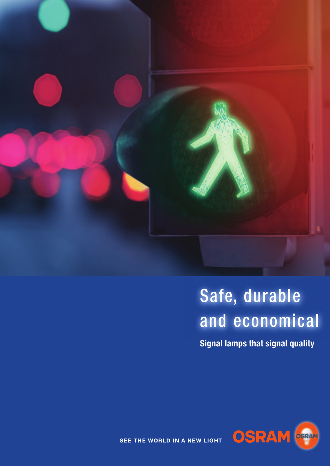

# Safe, durable and economical

**Signal lamps that signal quality**



SEE THE WORLD IN A NEW LIGHT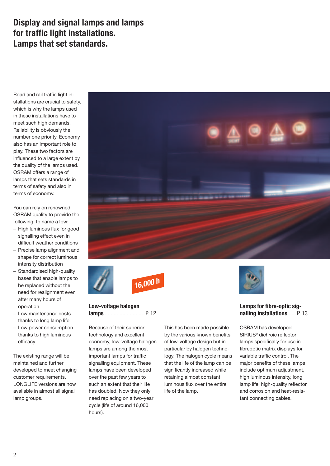### **Display and signal lamps and lamps for traffic light installations. Lamps that set standards.**

Road and rail traffic light installations are crucial to safety, which is why the lamps used in these installations have to meet such high demands. Reliability is obviously the number one priority. Economy also has an important role to play. These two factors are influenced to a large extent by the quality of the lamps used. OSRAM offers a range of lamps that sets standards in terms of safety and also in terms of economy.

You can rely on renowned OSRAM quality to provide the following, to name a few:

- High luminous flux for good signalling effect even in difficult weather conditions
- Precise lamp alignment and shape for correct luminous intensity distribution
- Standardised high-quality bases that enable lamps to be replaced without the need for realignment even after many hours of operation
- Low maintenance costs thanks to long lamp life
- Low power consumption thanks to high luminous efficacy.

The existing range will be maintained and further developed to meet changing customer requirements. LONGLIFE versions are now available in almost all signal lamp groups.





**Low-voltage halogen lamps** ........................... P. 12

Because of their superior technology and excellent economy, low-voltage halogen lamps are among the most important lamps for traffic signalling equipment. These lamps have been developed over the past few years to such an extent that their life has doubled. Now they only need replacing on a two-year cycle (life of around 16,000 hours).

This has been made possible by the various known benefits of low-voltage design but in particular by halogen technology. The halogen cycle means that the life of the lamp can be significantly increased while retaining almost constant luminous flux over the entire life of the lamp.



### **Lamps for fibre-optic signalling installations** ..... P. 13

OSRAM has developed SIRIUS® dichroic reflector lamps specifically for use in fibreoptic matrix displays for variable traffic control. The major benefits of these lamps include optimum adjustment, high luminous intensity, long lamp life, high-quality reflector and corrosion and heat-resistant connecting cables.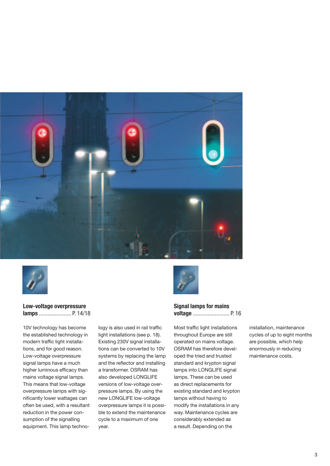



#### **Low-voltage overpressure lamps** ...................... P. 14/18

10V technology has become the established technology in modern traffic light installations, and for good reason. Low-voltage overpressure signal lamps have a much higher luminous efficacy than mains voltage signal lamps. This means that low-voltage overpressure lamps with significantly lower wattages can often be used, with a resultant reduction in the power consumption of the signalling equipment. This lamp technology is also used in rail traffic light installations (see p. 18). Existing 230V signal installations can be converted to 10V systems by replacing the lamp and the reflector and installing a transformer. OSRAM has also developed LONGLIFE versions of low-voltage overpressure lamps. By using the new LONGLIFE low-voltage overpressure lamps it is possible to extend the maintenance cycle to a maximum of one year.



#### **Signal lamps for mains voltage** ......................... P. 16

Most traffic light installations throughout Europe are still operated on mains voltage. OSRAM has therefore developed the tried and trusted standard and krypton signal lamps into LONGLIFE signal lamps. These can be used as direct replacements for existing standard and krypton lamps without having to modify the installations in any way. Maintenance cycles are considerably extended as a result. Depending on the

installation, maintenance cycles of up to eight months are possible, which help enormously in reducing maintenance costs.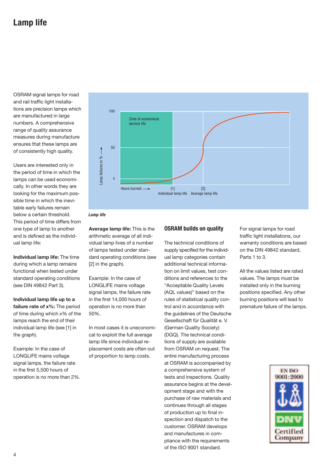OSRAM signal lamps for road and rail traffic light installations are precision lamps which are manufactured in large numbers. A comprehensive range of quality assurance measures during manufacture ensures that these lamps are of consistently high quality.

Users are interested only in the period of time in which the lamps can be used economically. In other words they are looking for the maximum possible time in which the inevitable early failures remain below a certain threshold. This period of time differs from one type of lamp to another and is defined as the individual lamp life:

**Individual lamp life:** The time during which a lamp remains functional when tested under standard operating conditions (see DIN 49842 Part 3).

**Individual lamp life up to a failure rate of x%:** The period of time during which x% of the lamps reach the end of their individual lamp life (see [1] in the graph).

Example: In the case of LONGLIFE mains voltage signal lamps, the failure rate in the first 5,500 hours of operation is no more than 2%.





**Average lamp life:** This is the arithmetic average of all individual lamp lives of a number of lamps tested under standard operating conditions (see [2] in the graph).

Example: In the case of LONGLIFE mains voltage signal lamps, the failure rate in the first 14,000 hours of operation is no more than 50%.

In most cases it is uneconomical to exploit the full average lamp life since individual replacement costs are often out of proportion to lamp costs.

#### **OSRAM builds on quality**

The technical conditions of supply specified for the individual lamp categories contain additional technical information on limit values, test conditions and references to the "Acceptable Quality Levels (AQL values)" based on the rules of statistical quality control and in accordance with the guidelines of the Deutsche Gesellschaft für Qualität e. V. (German Quality Society) (DGQ). The technical conditions of supply are available from OSRAM on request. The entire manufacturing process at OSRAM is accompanied by a comprehensive system of tests and inspections. Quality assurance begins at the development stage and with the purchase of raw materials and continues through all stages of production up to final inspection and dispatch to the customer. OSRAM develops and manufactures in compliance with the requirements of the ISO 9001 standard.

For signal lamps for road traffic light installations, our warranty conditions are based on the DIN 49842 standard, Parts 1 to 3.

All the values listed are rated values. The lamps must be installed only in the burning positions specified. Any other burning positions will lead to premature failure of the lamps.

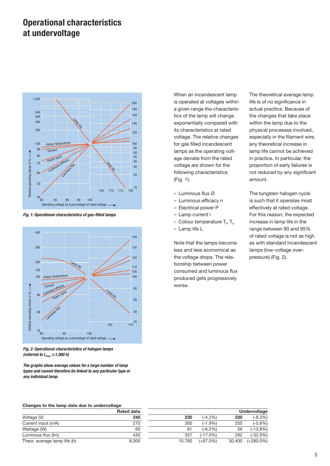### **Operational characteristics at undervoltage**



*Fig. 1: Operational characteristics of gas-filled lamps*



*Fig. 2: Operational characteristics of halogen lamps (referred to Lmax* ≤ *1,000 h)*

*The graphs show average values for a large number of lamp types and cannot therefore be linked to any particular type or any individual lamp.*

When an incandescent lamp is operated at voltages within a given range the characteristics of the lamp will change exponentially compared with its characteristics at rated voltage. The relative changes for gas filled incandescent lamps as the operating voltage deviate from the rated voltage are shown for the following characteristics (Fig. 1):

- Luminous flux Ø
- Luminous efficacy n
- Electrical power P
- Lamp current l
- Colour temperature T<sub>f</sub>, T<sub>n</sub>
- Lamp life L

Note that the lamps become less and less economical as the voltage drops. The relationship between power consumed and luminous flux produced gets progressively worse.

The theoretical average lamp life is of no significance in actual practice. Because of the changes that take place within the lamp due to the physical processes involved, especially in the filament wire, any theoretical increase in lamp life cannot be achieved in practice. In particular, the proportion of early failures is not reduced by any significant amount.

The tungsten halogen cycle is such that it operates most effectively at rated voltage. For this reason, the expected increase in lamp life in the range between 90 and 95% of rated voltage is not as high as with standard incandescent lamps (low-voltage overpressure) (Fig. 2).

#### **Changes to the lamp data due to undervoltage**

|                              | <b>Rated dat</b> |
|------------------------------|------------------|
| Voltage (V)                  | 24               |
| Current input (mA)           | 27               |
| Wattage (W)                  |                  |
| Luminous flux (Im)           | 43               |
| Theor. average lamp life (h) | 8,00             |

| onangoo to the lamp data due to ander rollage |                   |        |             |        |              |
|-----------------------------------------------|-------------------|--------|-------------|--------|--------------|
|                                               | <b>Rated data</b> |        |             |        | Undervoltage |
| Voltage (V)                                   | 240               | 230    | $(-4.2%)$   | 220    | $(-8.3%)$    |
| Current input (mA)                            | 270               | 265    | $(-1.9%$    | 255    | $(-5.6%)$    |
| Wattage (W)                                   | 65                | 61     | $(-6.2%)$   | 56     | $(-13.8%)$   |
| Luminous flux (Im)                            | 430               | 357    | $(-17.0\%)$ | 292    | $(-32.0\%)$  |
| Theor. average lamp life (h)                  | 8.000             | 15.760 | $(+97.0\%)$ | 30.400 | $(+280.0\%)$ |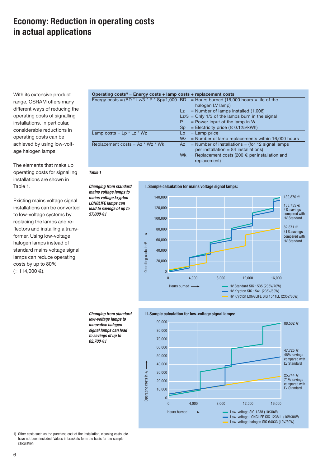### **Economy: Reduction in operating costs in actual applications**

With its extensive product range, OSRAM offers many different ways of reducing the operating costs of signalling installations. In particular, considerable reductions in operating costs can be achieved by using low-voltage halogen lamps.

The elements that make up operating costs for signalling installations are shown in Table 1.

Existing mains voltage signal installations can be converted to low-voltage systems by replacing the lamps and reflectors and installing a transformer. Using low-voltage halogen lamps instead of standard mains voltage signal lamps can reduce operating costs by up to 80%  $(= 114,000 €).$ 

| Operating costs <sup><math>\theta</math></sup> = Energy costs + lamp costs + replacement costs |                 |                                                                                            |
|------------------------------------------------------------------------------------------------|-----------------|--------------------------------------------------------------------------------------------|
|                                                                                                |                 | Energy costs = $(BD * LZ/3 * P * Sp)/1,000 BD = Hours burned (16,000 hours = life of the)$ |
|                                                                                                |                 | halogen LV lamp)                                                                           |
|                                                                                                |                 | $Lz =$ Number of lamps installed $(1,008)$                                                 |
|                                                                                                |                 | $Lz/3$ = Only 1/3 of the lamps burn in the signal                                          |
|                                                                                                | P               | $=$ Power input of the lamp in W                                                           |
|                                                                                                | Sp <sub>1</sub> | = Electricity price ( $\in$ 0.125/kWh)                                                     |
| Lamp costs = $Lp * Lz * Wz$                                                                    | Lp              | $=$ Lamp price                                                                             |
|                                                                                                | Wz i            | $=$ Number of lamp replacements within 16,000 hours                                        |
| Replacement costs = $Az * Wz * Wk$                                                             | Az i            | $=$ Number of installations $=$ (for 12 signal lamps                                       |
|                                                                                                |                 | per installation = $84$ installations)                                                     |
|                                                                                                |                 | Wk = Replacement costs (200 $\in$ per installation and<br>replacement)                     |

*Table 1*

*Changing from standard mains voltage lamps to mains voltage krypton LONGLIFE lamps can lead to savings of up to 57,000* €*!*





1



90,000 88,502 € 80,000 70,000 60,000 47,725 € 46% savings 50,000 compared with LV Standard 40,000 30,000 € 25,744 € Operating costs in 71% savings 20,000 compared with LV Standard 10,000  $\overline{0}$  $\overline{0}$ 4,000 8,000 16,000 12,000 Hours burned Low-voltage SIG 1238 (10/30W) - 11 Low-voltage LONGLIFE SIG 1238LL (10V/30W) Low-voltage halogen SIG 64033 (10V/30W)

1) Other costs such as the purchase cost of the installation, cleaning costs, etc. have not been included! Values in brackets form the basis for the sample calculation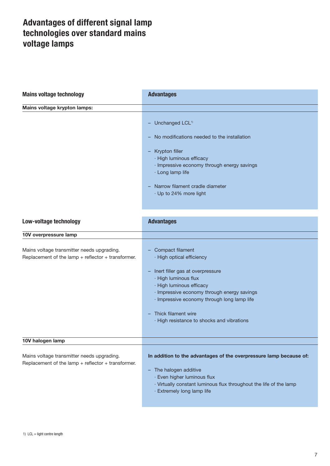### **Advantages of different signal lamp technologies over standard mains voltage lamps**

| <b>Mains voltage technology</b>                                                                      | <b>Advantages</b>                                                                                                                                                                                                                                                                                            |
|------------------------------------------------------------------------------------------------------|--------------------------------------------------------------------------------------------------------------------------------------------------------------------------------------------------------------------------------------------------------------------------------------------------------------|
| Mains voltage krypton lamps:                                                                         |                                                                                                                                                                                                                                                                                                              |
|                                                                                                      | - Unchanged LCL <sup>1)</sup><br>No modifications needed to the installation<br>- Krypton filler<br>· High luminous efficacy<br>· Impressive economy through energy savings<br>· Long lamp life<br>Narrow filament cradle diameter<br>· Up to 24% more light                                                 |
| Low-voltage technology                                                                               | <b>Advantages</b>                                                                                                                                                                                                                                                                                            |
| 10V overpressure lamp                                                                                |                                                                                                                                                                                                                                                                                                              |
| Mains voltage transmitter needs upgrading.<br>Replacement of the lamp $+$ reflector $+$ transformer. | - Compact filament<br>· High optical efficiency<br>- Inert filler gas at overpressure<br>· High luminous flux<br>· High luminous efficacy<br>· Impressive economy through energy savings<br>· Impressive economy through long lamp life<br>Thick filament wire<br>· High resistance to shocks and vibrations |
| 10V halogen lamp                                                                                     |                                                                                                                                                                                                                                                                                                              |
| Mains voltage transmitter needs upgrading.<br>Replacement of the lamp $+$ reflector $+$ transformer. | In addition to the advantages of the overpressure lamp because of:<br>- The halogen additive<br>· Even higher luminous flux<br>· Virtually constant luminous flux throughout the life of the lamp<br>· Extremely long lamp life                                                                              |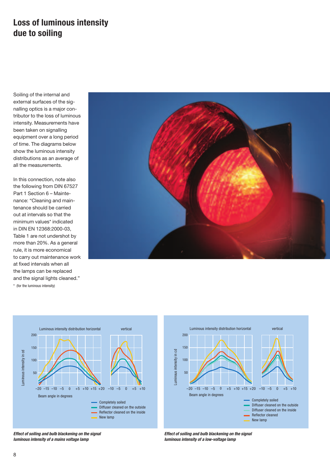### **Loss of luminous intensity due to soiling**

Soiling of the internal and external surfaces of the signalling optics is a major contributor to the loss of luminous intensity. Measurements have been taken on signalling equipment over a long period of time. The diagrams below show the luminous intensity distributions as an average of all the measurements.

In this connection, note also the following from DIN 67527 Part 1 Section 6 – Maintenance: "Cleaning and maintenance should be carried out at intervals so that the minimum values\* indicated in DIN EN 12368:2000-03, Table 1 are not undershot by more than 20%. As a general rule, it is more economical to carry out maintenance work at fixed intervals when all the lamps can be replaced and the signal lights cleaned." \* (for the luminous intensity)







*Effect of soiling and bulb blackening on the signal luminous intensity of a low-voltage lamp*

*Effect of soiling and bulb blackening on the signal luminous intensity of a mains voltage lamp*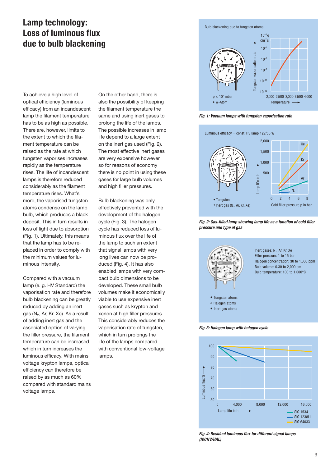### **Lamp technology: Loss of luminous flux due to bulb blackening**

To achieve a high level of optical efficiency (luminous efficacy) from an incandescent lamp the filament temperature has to be as high as possible. There are, however, limits to the extent to which the filament temperature can be raised as the rate at which tungsten vaporises increases rapidly as the temperature rises. The life of incandescent lamps is therefore reduced considerably as the filament temperature rises. What's more, the vaporised tungsten atoms condense on the lamp bulb, which produces a black deposit. This in turn results in loss of light due to absorption (Fig. 1). Ultimately, this means that the lamp has to be replaced in order to comply with the minimum values for luminous intensity.

Compared with a vacuum lamp (e. g. HV Standard) the vaporisation rate and therefore bulb blackening can be greatly reduced by adding an inert gas (N2, Ar, Kr, Xe). As a result of adding inert gas and the associated option of varying the filler pressure, the filament temperature can be increased, which in turn increases the luminous efficacy. With mains voltage krypton lamps, optical efficiency can therefore be raised by as much as 60% compared with standard mains voltage lamps.

On the other hand, there is also the possibility of keeping the filament temperature the same and using inert gases to prolong the life of the lamps. The possible increases in lamp life depend to a large extent on the inert gas used (Fig. 2). The most effective inert gases are very expensive however, so for reasons of economy there is no point in using these gases for large bulb volumes and high filler pressures.

Bulb blackening was only effectively prevented with the development of the halogen cycle (Fig. 3). The halogen cycle has reduced loss of luminous flux over the life of the lamp to such an extent that signal lamps with very long lives can now be produced (Fig. 4). It has also enabled lamps with very compact bulb dimensions to be developed. These small bulb volumes make it economically viable to use expensive inert gases such as krypton and xenon at high filler pressures. This considerably reduces the vaporisation rate of tungsten, which in turn prolongs the life of the lamps compared with conventional low-voltage lamps.





*Fig. 1: Vacuum lamps with tungsten vaporisation rate*







Inert gases:  $N_2$ , Ar, Kr, Xe Filler pressure: 1 to 15 bar Halogen concentration: 30 to 1,000 ppm Bulb volume: 0.30 to 2,000 cm Bulb temperature: 100 to 1,000°C

#### ° Halogen atoms

- Inert gas atoms
- 

*Fig. 3: Halogen lamp with halogen cycle*



*Fig. 4: Residual luminous flux for different signal lamps (HV/NV/HAL)*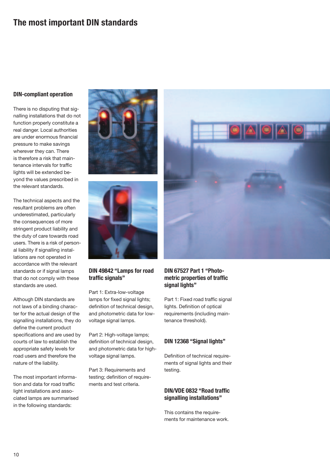### **The most important DIN standards**

#### **DIN-compliant operation**

There is no disputing that signalling installations that do not function properly constitute a real danger. Local authorities are under enormous financial pressure to make savings wherever they can. There is therefore a risk that maintenance intervals for traffic lights will be extended beyond the values prescribed in the relevant standards.

The technical aspects and the resultant problems are often underestimated, particularly the consequences of more stringent product liability and the duty of care towards road users. There is a risk of personal liability if signalling installations are not operated in accordance with the relevant standards or if signal lamps that do not comply with these standards are used.

Although DIN standards are not laws of a binding character for the actual design of the signalling installations, they do define the current product specifications and are used by courts of law to establish the appropriate safety levels for road users and therefore the nature of the liability.

The most important information and data for road traffic light installations and associated lamps are summarised in the following standards:





### **DIN 49842 "Lamps for road traffic signals"**

Part 1: Extra-low-voltage lamps for fixed signal lights; definition of technical design, and photometric data for lowvoltage signal lamps.

Part 2: High-voltage lamps; definition of technical design, and photometric data for highvoltage signal lamps.

Part 3: Requirements and testing; definition of requirements and test criteria.



#### **DIN 67527 Part 1 "Photometric properties of traffic signal lights"**

Part 1: Fixed road traffic signal lights. Definition of optical requirements (including maintenance threshold).

#### **DIN 12368 "Signal lights"**

Definition of technical requirements of signal lights and their testing.

#### **DIN/VDE 0832 "Road traffic signalling installations"**

This contains the requirements for maintenance work.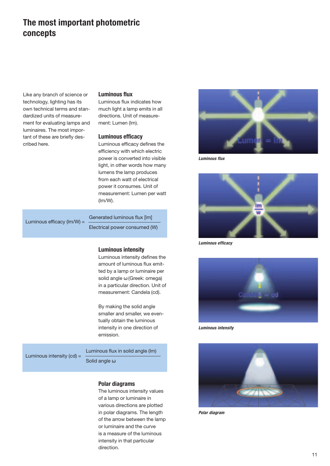### **The most important photometric concepts**

Like any branch of science or technology, lighting has its own technical terms and standardized units of measurement for evaluating lamps and luminaires. The most important of these are briefly described here.

#### **Luminous flux**

Luminous flux indicates how much light a lamp emits in all directions. Unit of measurement: Lumen (lm).

#### **Luminous efficacy**

Luminous efficacy defines the efficiency with which electric power is converted into visible light, in other words how many lumens the lamp produces from each watt of electrical power it consumes. Unit of measurement: Lumen per watt (lm/W).

| Luminous efficacy ( $\text{Im}/\text{W}$ ) = | Generated luminous flux [lm]  |
|----------------------------------------------|-------------------------------|
|                                              | Electrical power consumed (W) |

#### **Luminous intensity**

Luminous intensity defines the amount of luminous flux emitted by a lamp or luminaire per solid angle ω (Greek: omega) in a particular direction. Unit of measurement: Candela (cd).

By making the solid angle smaller and smaller, we eventually obtain the luminous intensity in one direction of emission.

Luminous intensity  $(cd) =$ 

Solid angle ω

Luminous flux in solid angle (lm)

#### **Polar diagrams**

The luminous intensity values of a lamp or luminaire in various directions are plotted in polar diagrams. The length of the arrow between the lamp or luminaire and the curve is a measure of the luminous intensity in that particular direction.



*Luminous flux*



*Luminous efficacy*



*Luminous intensity*



*Polar diagram*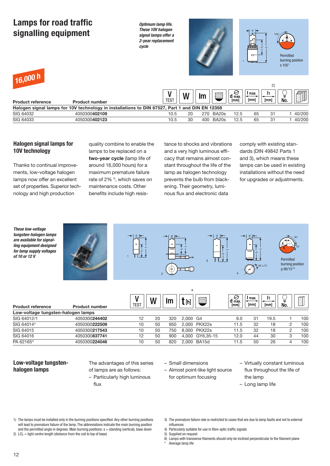| Lamps for road traffic<br>signalling equipment |                       | Optimum lamp life.<br>These 10V halogen<br>signal lamps offer a<br>2-year replacement<br>cycle |                |       |                      | JUUUUUU<br>$\Box$ |            | Permitted<br>burning position<br>$S$ 105 <sup>1</sup> |
|------------------------------------------------|-----------------------|------------------------------------------------------------------------------------------------|----------------|-------|----------------------|-------------------|------------|-------------------------------------------------------|
| 16,000 h<br><b>Product reference</b>           | <b>Product number</b> | <b>TEST</b>                                                                                    | W<br><u>Im</u> |       | $\theta$ max<br>[mm] | I max<br>[mm]     | 2)<br>[mm] | No.                                                   |
|                                                |                       | Halogen signal lamps for 10V technology in installations to DIN 67527, Part 1 and DIN EN 12358 |                |       |                      |                   |            |                                                       |
| SIG 64032                                      | 4050300402109         | 10.5                                                                                           | 20<br>270      | BA20s | 12.5                 | 65                | 31         | 40/200                                                |

SIG 64033 4050300**402123** 10.5 30 400 BA20s 12.5 65 31 1 40/200

#### **Halogen signal lamps for 10V technology**

Thanks to continual improvements, low-voltage halogen lamps now offer an excellent set of properties. Superior technology and high production

quality combine to enable the lamps to be replaced on a **two-year cycle** (lamp life of around 16,000 hours) for a maximum premature failure rate of 2%<sup>3</sup>, which saves on maintenance costs. Other benefits include high resistance to shocks and vibrations and a very high luminous efficacy that remains almost constant throughout the life of the lamp as halogen technology prevents the bulb from blackening. Their geometry, luminous flux and electronic data

comply with existing standards (DIN 49842 Parts 1 and 3), which means these lamps can be used in existing installations without the need for upgrades or adjustments.



#### **Low-voltage tungstenhalogen lamps**

The advantages of this series

of lamps are as follows: – Particularly high luminous

flux

– Small dimensions

- Almost point-like light source for optimum focusing
- Virtually constant luminous flux throughout the life of the lamp
- Long lamp life

1) The lamps must be installed only in the burning positions specified. Any other burning positions will lead to premature failure of the lamp. The abbreviations indicate the main burning position and the permitted angle in degrees. Main burning positions:  $s =$  standing (vertical), base down

2) LCL = light centre length (distance from the coil to top of base)

- 3) The premature failure rate is restricted to cases that are due to lamp faults and not to external influences
- 4) Particularly suitable for use in fibre-optic traffic signals
- 5) Supplied on request
- 6) Lamps with transverse filaments should only be inclined perpendicular to the filament plane

Average lamp life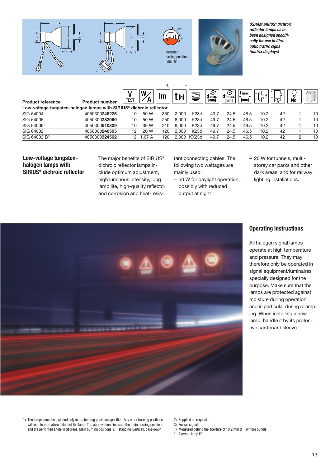

|                           |                                                                                |             |      | 4)  | $\star$ |                   |                     |                        |                |      |       |          |    |
|---------------------------|--------------------------------------------------------------------------------|-------------|------|-----|---------|-------------------|---------------------|------------------------|----------------|------|-------|----------|----|
| <b>Product reference</b>  | <b>Product number</b>                                                          | <b>TEST</b> | W    | Im  | [h]     | $\Box$            | ⊖<br>d max.<br>[mm] | €<br> d1 max.l<br>[mm] | I max.<br>[mm] | ↽    | l-f-i | ⊌<br>No. |    |
|                           | Low-voltage tungsten-halogen lamps with SIRIUS <sup>®</sup> dichroic reflector |             |      |     |         |                   |                     |                        |                |      |       |          |    |
| SIG 64004                 | 4050300245225                                                                  | 10          | 50 W | 350 | 2.000   | K <sub>23</sub> d | 49.7                | 24.5                   | 46.5           | 10.2 | 42    |          | 10 |
| SIG 64005                 | 4050300282060                                                                  | 10          | 50 W | 250 | 6.000   | K <sub>23</sub> d | 49.7                | 24.5                   | 46.5           | 10.2 | 42    |          | 10 |
| SIG 64009 <sup>2)</sup>   | 4050300510309                                                                  | 10          | 39 W | 210 | 6.000   | K <sub>23</sub> d | 49.7                | 24.5                   | 46.5           | 10.2 | 42    |          | 10 |
| SIG 64002                 | 4050300246505                                                                  | 12          | 20 W | 120 | 2.000   | K <sub>23</sub> d | 49.7                | 24.5                   | 46.5           | 10.2 | 42    |          | 10 |
| SIG 64002 B <sup>3)</sup> | 4050300324562                                                                  | 12          | .67A | 120 | 2.000   | KX23d             | 49.7                | 24.5                   | 46.5           | 10.2 | 42    | っ        | 10 |

#### **Low-voltage tungstenhalogen lamps with SIRIUS® dichroic reflector**

The major benefits of SIRIUS<sup>®</sup> dichroic reflector lamps include optimum adjustment, high luminous intensity, long lamp life, high-quality reflector and corrosion and heat-resis-

tant connecting cables. The following two wattages are mainly used:

- 50 W for daylight operation, possibly with reduced output at night
- 20 W for tunnels, multistorey car parks and other dark areas, and for railway lighting installations.



#### **Operating instructions**

All halogen signal lamps operate at high temperature and pressure. They may therefore only be operated in signal equipment/luminaires specially designed for the purpose. Make sure that the lamps are protected against moisture during operation and in particular during relamping. When installing a new lamp, handle it by its protective cardboard sleeve.

1) The lamps must be installed only in the burning positions specified. Any other burning positions will lead to premature failure of the lamp. The abbreviations indicate the main burning position and the permitted angle in degrees. Main burning positions: s = standing (vertical), base down

2) Supplied on request 3) For rail signals

4) Measured behind the aperture of 10.2 mm  $\emptyset = W$  fibre bundle

Average lamp life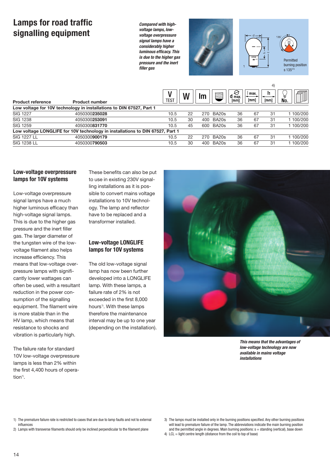### **Lamps for road traffic signalling equipment**

*Compared with highvoltage lamps, lowvoltage overpressure signal lamps have a considerably higher luminous efficacy. This is due to the higher gas pressure and the inert filler gas*



 $\overline{A}$ 

| <b>Product reference</b> | <b>Product number</b>                                                         | <b>TEST</b> | W  | Im  | E     | e<br>max.<br>[mm] | max.<br>[mm] | [mm] | 目<br>No. |
|--------------------------|-------------------------------------------------------------------------------|-------------|----|-----|-------|-------------------|--------------|------|----------|
|                          | Low voltage for 10V technology in installations to DIN 67527, Part 1          |             |    |     |       |                   |              |      |          |
| <b>SIG 1227</b>          | 4050300235028                                                                 | 10.5        | 22 | 270 | BA20s | 36                | 67           | 31   | 1100/200 |
| <b>SIG 1238</b>          | 4050300253091                                                                 | 10.5        | 30 | 400 | BA20s | 36                | 67           | 31   | 1100/200 |
| <b>SIG 1259</b>          | 4050300831770                                                                 | 10.5        | 45 | 600 | BA20s | 36                | 67           | -31  | 100/200  |
|                          | Low voltage LONGLIFE for 10V technology in installations to DIN 67527, Part 1 |             |    |     |       |                   |              |      |          |
| <b>SIG 1227 LL</b>       | 4050300900179                                                                 | 10.5        | 22 | 270 | BA20s | 36                | 67           | -31  | 100/200  |
| <b>SIG 1238 LL</b>       | 4050300790503                                                                 | 10.5        | 30 | 400 | BA20s | 36                | 67           | -31  | 100/200  |

#### **Low-voltage overpressure lamps for 10V systems**

Low-voltage overpressure signal lamps have a much higher luminous efficacy than high-voltage signal lamps. This is due to the higher gas pressure and the inert filler gas. The larger diameter of the tungsten wire of the lowvoltage filament also helps increase efficiency. This means that low-voltage overpressure lamps with significantly lower wattages can often be used, with a resultant reduction in the power consumption of the signalling equipment. The filament wire is more stable than in the HV lamp, which means that resistance to shocks and vibration is particularly high.

The failure rate for standard 10V low-voltage overpressure lamps is less than 2% within the first 4,400 hours of opera $t$ ion<sup>1)</sup>

These benefits can also be put to use in existing 230V signalling installations as it is possible to convert mains voltage installations to 10V technology. The lamp and reflector have to be replaced and a transformer installed.

#### **Low-voltage LONGLIFE lamps for 10V systems**

The old low-voltage signal lamp has now been further developed into a LONGLIFE lamp. With these lamps, a failure rate of 2% is not exceeded in the first 8,000 hours<sup>1)</sup>. With these lamps therefore the maintenance interval may be up to one year (depending on the installation).



*This means that the advantages of low-voltage technology are now available in mains voltage installations*

- 1) The premature failure rate is restricted to cases that are due to lamp faults and not to external influences
- 2) Lamps with transverse filaments should only be inclined perpendicular to the filament plane

4) LCL = light centre length (distance from the coil to top of base)

<sup>3)</sup> The lamps must be installed only in the burning positions specified. Any other burning positions will lead to premature failure of the lamp. The abbreviations indicate the main burning position and the permitted angle in degrees. Main burning positions:  $s =$  standing (vertical), base down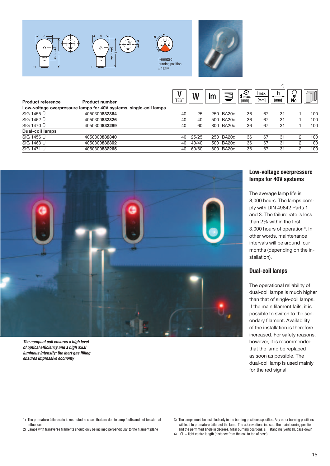

|                          |                                                                   | TES1 | W     | Im  | $\equiv$  | B<br>$d$ max.<br>[mm] | max.<br>[mm] | יד<br>[mm] | 目<br>No. |     |
|--------------------------|-------------------------------------------------------------------|------|-------|-----|-----------|-----------------------|--------------|------------|----------|-----|
| <b>Product reference</b> | <b>Product number</b>                                             |      |       |     |           |                       |              |            |          |     |
|                          | Low-voltage overpressure lamps for 40V systems, single-coil lamps |      |       |     |           |                       |              |            |          |     |
| SIG 1455 Ü               | 4050300832364                                                     | 40   | 25    |     | 250 BA20d | 36                    | 67           | 31         |          | 100 |
| SIG 1462 Ü               | 4050300832326                                                     | 40   | 40    | 500 | BA20d     | 36                    | 67           | 31         |          | 100 |
| SIG 1470 Ü               | 4050300832289                                                     | 40   | 60    | 800 | BA20d     | 36                    | 67           | 31         |          | 100 |
| <b>Dual-coil lamps</b>   |                                                                   |      |       |     |           |                       |              |            |          |     |
| SIG 1456 Ü               | 4050300832340                                                     | 40   | 25/25 |     | 250 BA20d | 36                    | 67           | 31         | 2        | 100 |
| SIG 1463 Ü               | 4050300832302                                                     | 40   | 40/40 | 500 | BA20d     | 36                    | 67           | 31         | 2        | 100 |
| SIG 1471 Ü               | 4050300832265                                                     | 40   | 60/60 | 800 | BA20d     | 36                    | 67           | 31         | 2        | 100 |



*The compact coil ensures a high level of optical efficiency and a high axial luminous intensity; the inert gas filling ensures impressive economy*

#### **Low-voltage overpressure lamps for 40V systems**

 $\overline{A}$ 

The average lamp life is 8,000 hours. The lamps comply with DIN 49842 Parts 1 and 3. The failure rate is less than 2% within the first  $3.000$  hours of operation<sup>1)</sup>. In other words, maintenance intervals will be around four months (depending on the installation).

#### **Dual-coil lamps**

The operational reliability of dual-coil lamps is much higher than that of single-coil lamps. If the main filament fails, it is possible to switch to the secondary filament. Availability of the installation is therefore increased. For safety reasons, however, it is recommended that the lamp be replaced as soon as possible. The dual-coil lamp is used mainly for the red signal.

- 1) The premature failure rate is restricted to cases that are due to lamp faults and not to external influences
- 2) Lamps with transverse filaments should only be inclined perpendicular to the filament plane

4) LCL = light centre length (distance from the coil to top of base)

<sup>3)</sup> The lamps must be installed only in the burning positions specified. Any other burning positions will lead to premature failure of the lamp. The abbreviations indicate the main burning position and the permitted angle in degrees. Main burning positions: s = standing (vertical), base down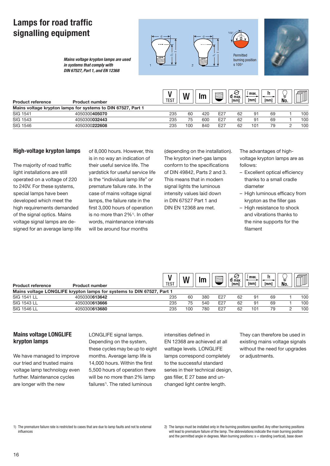## **Lamps for road traffic signalling equipment**



*Mains voltage krypton lamps are used in systems that comply with DIN 67527, Part 1, and EN 12368*

| Product reference | <b>Product number</b>                                        | TEST | M   | Im  |     | $d$ max.<br>[mm] | max.<br>[mm] | [mm] | No. |     |
|-------------------|--------------------------------------------------------------|------|-----|-----|-----|------------------|--------------|------|-----|-----|
|                   | Mains voltage krypton lamps for systems to DIN 67527, Part 1 |      |     |     |     |                  |              |      |     |     |
| <b>SIG 1541</b>   | 4050300405070                                                | 235  | 60  | 420 | E27 | 62               | 91           | 69   |     | 100 |
| <b>SIG 1543</b>   | 4050300032443                                                | 235  | 75  | 600 | E27 | 62               | 91           | 69   |     | 100 |
| SIG 1546          | 4050300222608                                                | 235  | 100 | 840 | E27 | 62               | 101          | 79   |     | 100 |
|                   |                                                              |      |     |     |     |                  |              |      |     |     |

#### **High-voltage krypton lamps**

The majority of road traffic light installations are still operated on a voltage of 220 to 240V. For these systems, special lamps have been developed which meet the high requirements demanded of the signal optics. Mains voltage signal lamps are designed for an average lamp life

of 8,000 hours. However, this is in no way an indication of their useful service life. The yardstick for useful service life is the "individual lamp life" or premature failure rate. In the case of mains voltage signal lamps, the failure rate in the first 3,000 hours of operation is no more than 2%<sup>1)</sup>. In other words, maintenance intervals will be around four months

(depending on the installation). The krypton inert-gas lamps conform to the specifications of DIN 49842, Parts 2 and 3. This means that in modern signal lights the luminous intensity values laid down in DIN 67527 Part 1 and DIN EN 12368 are met.

The advantages of highvoltage krypton lamps are as follows:

- Excellent optical efficiency thanks to a small cradle diameter
- High luminous efficacy from krypton as the filler gas
- High resistance to shock and vibrations thanks to the nine supports for the filament

| <b>Product reference</b> | <b>Product number</b>                                                 | TEST |     | lm  |     | $d$ max.<br>[mm] | l max.<br>[mm] | [mm] | 目<br>No. |     |
|--------------------------|-----------------------------------------------------------------------|------|-----|-----|-----|------------------|----------------|------|----------|-----|
|                          | Mains voltage LONGLIFE krypton lamps for systems to DIN 67527, Part 1 |      |     |     |     |                  |                |      |          |     |
| SIG 1541 LL              | 4050300613642                                                         | 235  | 60  | 380 | E27 | 62               | 91             | 69   |          | 100 |
| <b>SIG 1543 LL</b>       | 4050300613666                                                         | 235  | 75  | 540 | E27 | 62               | 91             | 69   |          | 100 |
| <b>SIG 1546 LL</b>       | 4050300613680                                                         | 235  | 10C | 78C | E27 | 62               | 101            | 79   |          | 100 |

#### **Mains voltage LONGLIFE krypton lamps**

We have managed to improve our tried and trusted mains voltage lamp technology even further. Maintenance cycles are longer with the new

LONGLIFE signal lamps. Depending on the system, these cycles may be up to eight months. Average lamp life is 14,000 hours. Within the first 5,500 hours of operation there will be no more than 2% lamp failures<sup>1)</sup>. The rated luminous

intensities defined in EN 12368 are achieved at all wattage levels. LONGLIFE lamps correspond completely to the successful standard series in their technical design, gas filler, E 27 base and unchanged light centre length.

They can therefore be used in existing mains voltage signals without the need for upgrades or adjustments.

<sup>1)</sup> The premature failure rate is restricted to cases that are due to lamp faults and not to external influences

<sup>2)</sup> The lamps must be installed only in the burning positions specified. Any other burning positions will lead to premature failure of the lamp. The abbreviations indicate the main burning position and the permitted angle in degrees. Main burning positions:  $s =$  standing (vertical), base down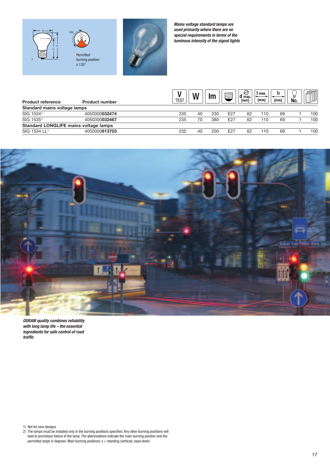

*Mains voltage standard lamps are used primarily where there are no special requirements in terms of the luminous intensity of the signal lights*

| <b>Product reference</b>                     | <b>Product number</b> | TEST |    | Im  | 亖               | К<br>$d$ max.<br>[mm] | max.<br>[mm] | I1<br>[mm] | U<br>No. |     |
|----------------------------------------------|-----------------------|------|----|-----|-----------------|-----------------------|--------------|------------|----------|-----|
| Standard mains voltage lamps                 |                       |      |    |     |                 |                       |              |            |          |     |
| SIG 1534 <sup>1)</sup>                       | 4050300032474         | 235  | 40 | 230 | E27             | 62                    | 10           | 69         |          | 100 |
| SIG 1535 <sup>1)</sup>                       | 4050300032467         | 235  | 70 | 380 | E27             | 62                    | 10           | 69         |          | 100 |
| <b>Standard LONGLIFE mains voltage lamps</b> |                       |      |    |     |                 |                       |              |            |          |     |
| SIG 1534 LL <sup>1)</sup>                    | 4050300613703         | 235  | 40 | 200 | E <sub>27</sub> | 62                    | 10           | 69         |          | 100 |



*OSRAM quality combines reliability with long lamp life – the essential ingredients for safe control of road traffic*

1) Not for new designs

2) The lamps must be installed only in the burning positions specified. Any other burning positions will lead to premature failure of the lamp. The abbreviations indicate the main burning position and the permitted angle in degrees. Main burning positions: s = standing (vertical), base down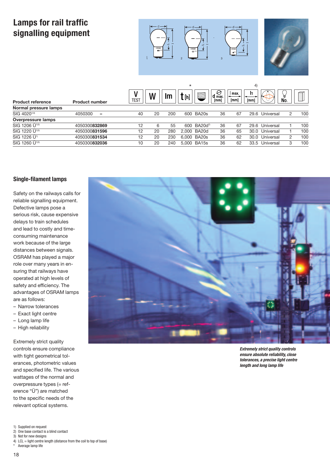# **Lamps for rail traffic signalling equipment**





|                            |                            |                  | $\star$ |     |     |                     |                                 | 4            |            |           |               |     |  |
|----------------------------|----------------------------|------------------|---------|-----|-----|---------------------|---------------------------------|--------------|------------|-----------|---------------|-----|--|
| <b>Product reference</b>   | <b>Product number</b>      | TES <sub>1</sub> | N       | m   | [h] |                     | $\varTheta$<br>$d$ max.<br>[mm] | max.<br>[mm] | 11<br>[mm] | ÷к        | U<br>No.      | 4   |  |
| Normal pressure lamps      |                            |                  |         |     |     |                     |                                 |              |            |           |               |     |  |
| SIG 4020 <sup>1)3)</sup>   | 4050300<br>$\qquad \qquad$ | 40               | 20      | 200 |     | 600 BA20s           | 36                              | 67           | 29.6       | Universal | $\mathcal{P}$ | 100 |  |
| Overpressure lamps         |                            |                  |         |     |     |                     |                                 |              |            |           |               |     |  |
| SIG 1206 Ü <sup>1)3)</sup> | 4050300832869              | 12               | 6       | 55  | 600 | BA20d <sup>2)</sup> | 36                              | 67           | 29.6       | Universal |               | 100 |  |
| SIG 1220 Ü <sup>1)3)</sup> | 4050300831596              | 12               | 20      | 280 |     | 2,000 BA20d         | 36                              | 65           | 30.0       | Universal |               | 100 |  |
| SIG 1226 Ü <sup>1)</sup>   | 4050300831534              | 12               | 20      | 230 |     | 6.000 BA20s         | 36                              | 62           | 30.0       | Universal | 2             | 100 |  |
| SIG 1260 Ü <sup>1)3)</sup> | 4050300832036              | 10               | 20      | 240 |     | 5.000 BA15s         | 36                              | 62           | 33.5       | Universal | 3             | 100 |  |

#### **Single-filament lamps**

Safety on the railways calls for reliable signalling equipment. Defective lamps pose a serious risk, cause expensive delays to train schedules and lead to costly and timeconsuming maintenance work because of the large distances between signals. OSRAM has played a major role over many years in ensuring that railways have operated at high levels of safety and efficiency. The advantages of OSRAM lamps are as follows:

- Narrow tolerances
- Exact light centre
- Long lamp life
- High reliability

Extremely strict quality controls ensure compliance with tight geometrical tolerances, photometric values and specified life. The various wattages of the normal and overpressure types (= reference "Ü") are matched to the specific needs of the relevant optical systems.

1) Supplied on request

3) Not for new designs

18

4) LCL = light centre length (distance from the coil to top of base)





*Extremely strict quality controls ensure absolute reliability, close tolerances, a precise light centre length and long lamp life*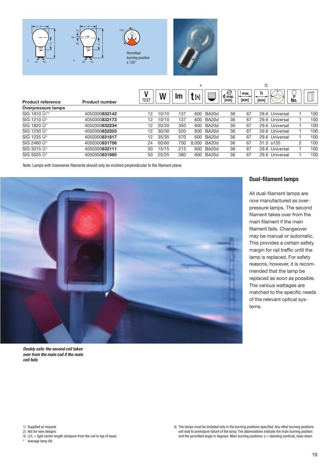

|                            |                       |             |       |     | $\sim$ |        | ັບ                   |                |      |                |     |     |
|----------------------------|-----------------------|-------------|-------|-----|--------|--------|----------------------|----------------|------|----------------|-----|-----|
| <b>Product reference</b>   | <b>Product number</b> | <b>TEST</b> | W     | Im  | [h]    | $\Box$ | ⊖<br>$d$ max<br>[mm] | I max.<br>[mm] | [mm] | -12            | No. |     |
| Overpressure lamps         |                       |             |       |     |        |        |                      |                |      |                |     |     |
| SIG 1810 Ü <sup>1/2)</sup> | 4050300832142         | 12          | 10/10 | 137 | 600    | BA20d  | 36                   | 67             |      | 29.6 Universal |     | 100 |
| SIG 1210 U <sup>11</sup>   | 4050300832173         | 12          | 10/10 | 137 | 600    | BA20d  | 36                   | 67             |      | 29.6 Universal |     | 100 |
| SIG 1820 Ü <sup>11</sup>   | 4050300832234         | 12          | 20/20 | 350 | 600    | BA20d  | 36                   | 67             |      | 29.6 Universal |     | 100 |
| SIG 1230 Ü <sup>11</sup>   | 4050300832203         | 12          | 30/30 | 520 | 600    | BA20d  | 36                   | 67             |      | 29.6 Universal |     | 100 |
| SIG 1235 Ü <sup>11</sup>   | 4050300831817         | 12          | 35/35 | 570 | 600    | BA20d  | 36                   | 67             |      | 29.6 Universal |     | 100 |
| SIG 2460 Ü <sup>11</sup>   | 4050300831756         | 24          | 60/60 | 700 | 8.000  | BA20d  | 36                   | 67             |      | 31.0 s135      | 2   | 100 |
| SIG 3015 U <sup>11</sup>   | 4050300832111         | 30          | 15/15 | 213 | 600    | BA20d  | 36                   | 67             |      | 29.6 Universal |     | 100 |
| SIG 5025 U <sup>11</sup>   | 4050300831985         | 50          | 25/25 | 380 | 600    | BA20d  | 36                   | 67             |      | 29.6 Universal |     | 100 |
|                            |                       |             |       |     |        |        |                      |                |      |                |     |     |

 $\ddot{\phantom{a}}$ 

Note: Lamps with transverse filaments should only be inclined perpendicular to the filament plane.



*Doubly safe: the second coil takes over from the main coil if the main coil fails*

### **Dual-filament lamps**

 $\mathcal{O}(\mathcal{O})$ 

All dual-filament lamps are now manufactured as overpressure lamps. The second filament takes over from the main filament if the main filament fails. Changeover may be manual or automatic. This provides a certain safety margin for rail traffic until the lamp is replaced. For safety reasons, however, it is recommended that the lamp be replaced as soon as possible. The various wattages are matched to the specific needs of the relevant optical systems.

1) Supplied on request

2) Not for new designs

 $\sim$  3) LCL = light centre length (distance from the coil to top of base)<br>\* Averano lamp life

Average lamp life

4) The lamps must be installed only in the burning positions specified. Any other burning positions will lead to premature failure of the lamp. The abbreviations indicate the main burning position and the permitted angle in degrees. Main burning positions: s = standing (vertical), base down